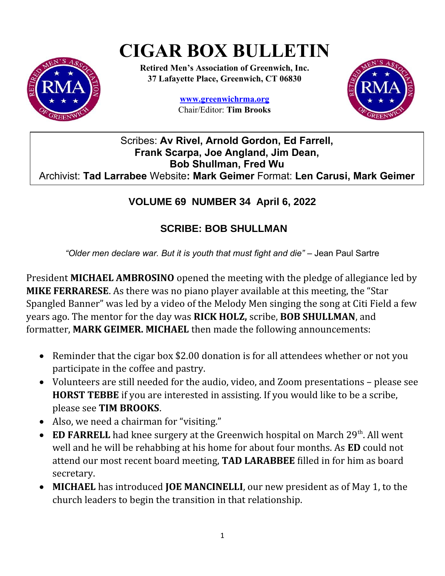# **CIGAR BOX BULLETIN**



**Retired Men's Association of Greenwich, Inc. 37 Lafayette Place, Greenwich, CT 06830**

> **www.greenwichrma.org** Chair/Editor: **Tim Brooks**



## Scribes: **Av Rivel, Arnold Gordon, Ed Farrell, Frank Scarpa, Joe Angland, Jim Dean, Bob Shullman, Fred Wu** Archivist: **Tad Larrabee** Website**: Mark Geimer** Format: **Len Carusi, Mark Geimer**

# **VOLUME 69 NUMBER 34 April 6, 2022**

## **SCRIBE: BOB SHULLMAN**

*"Older men declare war. But it is youth that must fight and die"* – Jean Paul Sartre

President **MICHAEL AMBROSINO** opened the meeting with the pledge of allegiance led by **MIKE FERRARESE**. As there was no piano player available at this meeting, the "Star Spangled Banner" was led by a video of the Melody Men singing the song at Citi Field a few years ago. The mentor for the day was **RICK HOLZ,** scribe, **BOB SHULLMAN**, and formatter, **MARK GEIMER. MICHAEL** then made the following announcements:

- Reminder that the cigar box \$2.00 donation is for all attendees whether or not you participate in the coffee and pastry.
- Volunteers are still needed for the audio, video, and Zoom presentations please see **HORST TEBBE** if you are interested in assisting. If you would like to be a scribe, please see **TIM BROOKS**.
- Also, we need a chairman for "visiting."
- **ED FARRELL** had knee surgery at the Greenwich hospital on March  $29<sup>th</sup>$ . All went well and he will be rehabbing at his home for about four months. As **ED** could not attend our most recent board meeting, **TAD LARABBEE** filled in for him as board secretary.
- **MICHAEL** has introduced **JOE MANCINELLI**, our new president as of May 1, to the church leaders to begin the transition in that relationship.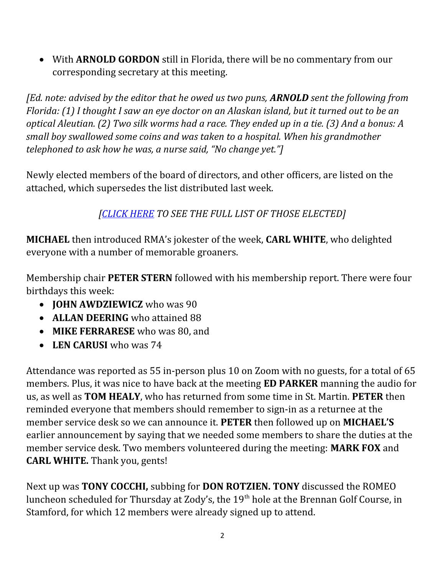With **ARNOLD GORDON** still in Florida, there will be no commentary from our corresponding secretary at this meeting.

*[Ed. note: advised by the editor that he owed us two puns, ARNOLD sent the following from Florida: (1) I thought I saw an eye doctor on an Alaskan island, but it turned out to be an optical Aleutian. (2) Two silk worms had a race. They ended up in a tie. (3) And a bonus: A small boy swallowed some coins and was taken to a hospital. When his grandmother telephoned to ask how he was, a nurse said, "No change yet."]*

Newly elected members of the board of directors, and other officers, are listed on the attached, which supersedes the list distributed last week.

*[\[CLICK HERE](https://docs.google.com/document/d/13dyfZmanIq9_tVYwkvyYH8qTL4WjdyAn/edit?usp=sharing&ouid=112714051636455456827&rtpof=true&sd=true) TO SEE THE FULL LIST OF THOSE ELECTED]*

**MICHAEL** then introduced RMA's jokester of the week, **CARL WHITE**, who delighted everyone with a number of memorable groaners.

Membership chair **PETER STERN** followed with his membership report. There were four birthdays this week:

- **JOHN AWDZIEWICZ** who was 90
- **ALLAN DEERING** who attained 88
- **MIKE FERRARESE** who was 80, and
- **LEN CARUSI** who was 74

Attendance was reported as 55 in-person plus 10 on Zoom with no guests, for a total of 65 members. Plus, it was nice to have back at the meeting **ED PARKER** manning the audio for us, as well as **TOM HEALY**, who has returned from some time in St. Martin. **PETER** then reminded everyone that members should remember to sign-in as a returnee at the member service desk so we can announce it. **PETER** then followed up on **MICHAEL'S**  earlier announcement by saying that we needed some members to share the duties at the member service desk. Two members volunteered during the meeting: **MARK FOX** and **CARL WHITE.** Thank you, gents!

Next up was **TONY COCCHI,** subbing for **DON ROTZIEN. TONY** discussed the ROMEO luncheon scheduled for Thursday at Zody's, the 19<sup>th</sup> hole at the Brennan Golf Course, in Stamford, for which 12 members were already signed up to attend.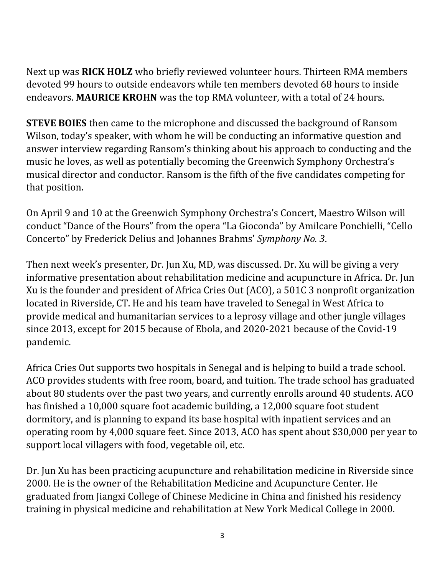Next up was **RICK HOLZ** who briefly reviewed volunteer hours. Thirteen RMA members devoted 99 hours to outside endeavors while ten members devoted 68 hours to inside endeavors. **MAURICE KROHN** was the top RMA volunteer, with a total of 24 hours.

**STEVE BOIES** then came to the microphone and discussed the background of Ransom Wilson, today's speaker, with whom he will be conducting an informative question and answer interview regarding Ransom's thinking about his approach to conducting and the music he loves, as well as potentially becoming the Greenwich Symphony Orchestra's musical director and conductor. Ransom is the fifth of the five candidates competing for that position.

On April 9 and 10 at the Greenwich Symphony Orchestra's Concert, Maestro Wilson will conduct "Dance of the Hours" from the opera "La Gioconda" by Amilcare Ponchielli, "Cello Concerto" by Frederick Delius and Johannes Brahms' *Symphony No. 3*.

Then next week's presenter, Dr. Jun Xu, MD, was discussed. Dr. Xu will be giving a very informative presentation about rehabilitation medicine and acupuncture in Africa. Dr. Jun Xu is the founder and president of Africa Cries Out (ACO), a 501C 3 nonprofit organization located in Riverside, CT. He and his team have traveled to Senegal in West Africa to provide medical and humanitarian services to a leprosy village and other jungle villages since 2013, except for 2015 because of Ebola, and 2020-2021 because of the Covid-19 pandemic.

Africa Cries Out supports two hospitals in Senegal and is helping to build a trade school. ACO provides students with free room, board, and tuition. The trade school has graduated about 80 students over the past two years, and currently enrolls around 40 students. ACO has finished a 10,000 square foot academic building, a 12,000 square foot student dormitory, and is planning to expand its base hospital with inpatient services and an operating room by 4,000 square feet. Since 2013, ACO has spent about \$30,000 per year to support local villagers with food, vegetable oil, etc.

Dr. Jun Xu has been practicing acupuncture and rehabilitation medicine in Riverside since 2000. He is the owner of the Rehabilitation Medicine and Acupuncture Center. He graduated from Jiangxi College of Chinese Medicine in China and finished his residency training in physical medicine and rehabilitation at New York Medical College in 2000.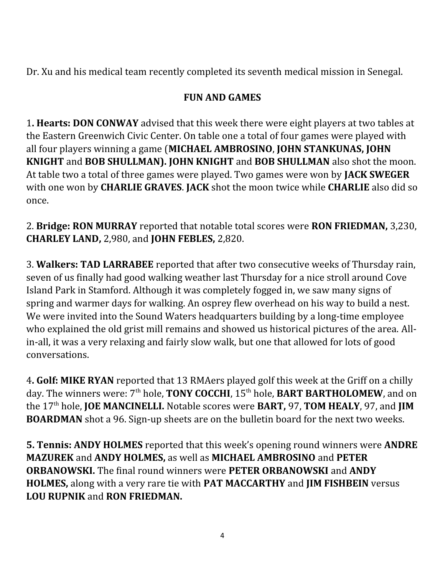Dr. Xu and his medical team recently completed its seventh medical mission in Senegal.

## **FUN AND GAMES**

1**. Hearts: DON CONWAY** advised that this week there were eight players at two tables at the Eastern Greenwich Civic Center. On table one a total of four games were played with all four players winning a game (**MICHAEL AMBROSINO**, **JOHN STANKUNAS, JOHN KNIGHT** and **BOB SHULLMAN). JOHN KNIGHT** and **BOB SHULLMAN** also shot the moon. At table two a total of three games were played. Two games were won by **JACK SWEGER** with one won by **CHARLIE GRAVES**. **JACK** shot the moon twice while **CHARLIE** also did so once.

2. **Bridge: RON MURRAY** reported that notable total scores were **RON FRIEDMAN,** 3,230, **CHARLEY LAND,** 2,980, and **JOHN FEBLES,** 2,820.

3. **Walkers: TAD LARRABEE** reported that after two consecutive weeks of Thursday rain, seven of us finally had good walking weather last Thursday for a nice stroll around Cove Island Park in Stamford. Although it was completely fogged in, we saw many signs of spring and warmer days for walking. An osprey flew overhead on his way to build a nest. We were invited into the Sound Waters headquarters building by a long-time employee who explained the old grist mill remains and showed us historical pictures of the area. Allin-all, it was a very relaxing and fairly slow walk, but one that allowed for lots of good conversations.

4**. Golf: MIKE RYAN** reported that 13 RMAers played golf this week at the Griff on a chilly day. The winners were: 7<sup>th</sup> hole, **TONY COCCHI**, 15<sup>th</sup> hole, **BART BARTHOLOMEW**, and on the 17th hole, **JOE MANCINELLI.** Notable scores were **BART,** 97, **TOM HEALY**, 97, and **JIM BOARDMAN** shot a 96. Sign-up sheets are on the bulletin board for the next two weeks.

**5. Tennis: ANDY HOLMES** reported that this week's opening round winners were **ANDRE MAZUREK** and **ANDY HOLMES,** as well as **MICHAEL AMBROSINO** and **PETER ORBANOWSKI.** The final round winners were **PETER ORBANOWSKI** and **ANDY HOLMES,** along with a very rare tie with **PAT MACCARTHY** and **JIM FISHBEIN** versus **LOU RUPNIK** and **RON FRIEDMAN.**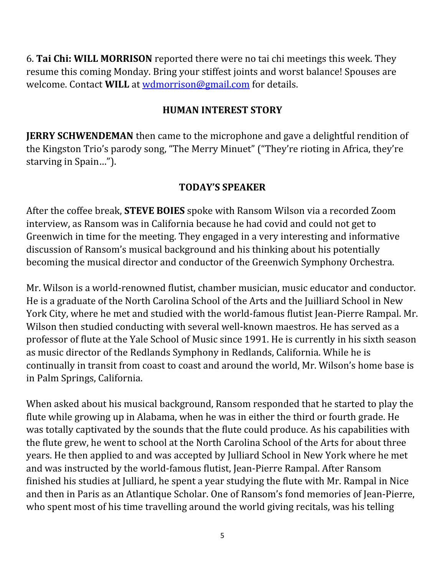6. **Tai Chi: WILL MORRISON** reported there were no tai chi meetings this week. They resume this coming Monday. Bring your stiffest joints and worst balance! Spouses are welcome. Contact **WILL** at [wdmorrison@gmail.com](mailto:wdmorrison@gmail.com) for details.

#### **HUMAN INTEREST STORY**

**JERRY SCHWENDEMAN** then came to the microphone and gave a delightful rendition of the Kingston Trio's parody song, "The Merry Minuet" ("They're rioting in Africa, they're starving in Spain…").

#### **TODAY'S SPEAKER**

After the coffee break, **STEVE BOIES** spoke with Ransom Wilson via a recorded Zoom interview, as Ransom was in California because he had covid and could not get to Greenwich in time for the meeting. They engaged in a very interesting and informative discussion of Ransom's musical background and his thinking about his potentially becoming the musical director and conductor of the Greenwich Symphony Orchestra.

Mr. Wilson is a world-renowned flutist, chamber musician, music educator and conductor. He is a graduate of the North Carolina School of the Arts and the Juilliard School in New York City, where he met and studied with the world-famous flutist Jean-Pierre Rampal. Mr. Wilson then studied conducting with several well-known maestros. He has served as a professor of flute at the Yale School of Music since 1991. He is currently in his sixth season as music director of the Redlands Symphony in Redlands, California. While he is continually in transit from coast to coast and around the world, Mr. Wilson's home base is in Palm Springs, California.

When asked about his musical background, Ransom responded that he started to play the flute while growing up in Alabama, when he was in either the third or fourth grade. He was totally captivated by the sounds that the flute could produce. As his capabilities with the flute grew, he went to school at the North Carolina School of the Arts for about three years. He then applied to and was accepted by Julliard School in New York where he met and was instructed by the world-famous flutist, Jean-Pierre Rampal. After Ransom finished his studies at Julliard, he spent a year studying the flute with Mr. Rampal in Nice and then in Paris as an Atlantique Scholar. One of Ransom's fond memories of Jean-Pierre, who spent most of his time travelling around the world giving recitals, was his telling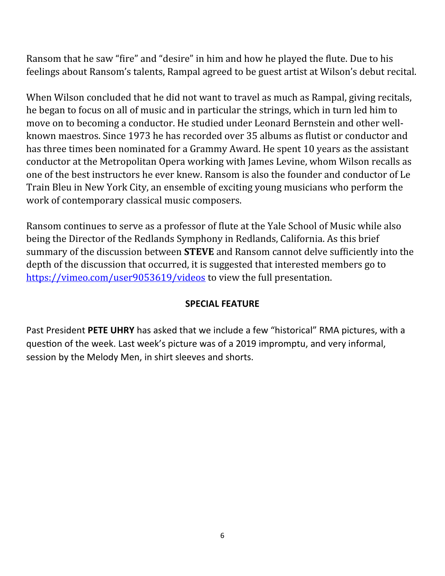Ransom that he saw "fire" and "desire" in him and how he played the flute. Due to his feelings about Ransom's talents, Rampal agreed to be guest artist at Wilson's debut recital.

When Wilson concluded that he did not want to travel as much as Rampal, giving recitals, he began to focus on all of music and in particular the strings, which in turn led him to move on to becoming a conductor. He studied under Leonard Bernstein and other wellknown maestros. Since 1973 he has recorded over 35 albums as flutist or conductor and has three times been nominated for a Grammy Award. He spent 10 years as the assistant conductor at the Metropolitan Opera working with James Levine, whom Wilson recalls as one of the best instructors he ever knew. Ransom is also the founder and conductor of Le Train Bleu in New York City, an ensemble of exciting young musicians who perform the work of contemporary classical music composers.

Ransom continues to serve as a professor of flute at the Yale School of Music while also being the Director of the Redlands Symphony in Redlands, California. As this brief summary of the discussion between **STEVE** and Ransom cannot delve sufficiently into the depth of the discussion that occurred, it is suggested that interested members go to <https://vimeo.com/user9053619/videos>to view the full presentation.

#### **SPECIAL FEATURE**

Past President **PETE UHRY** has asked that we include a few "historical" RMA pictures, with a question of the week. Last week's picture was of a 2019 impromptu, and very informal, session by the Melody Men, in shirt sleeves and shorts.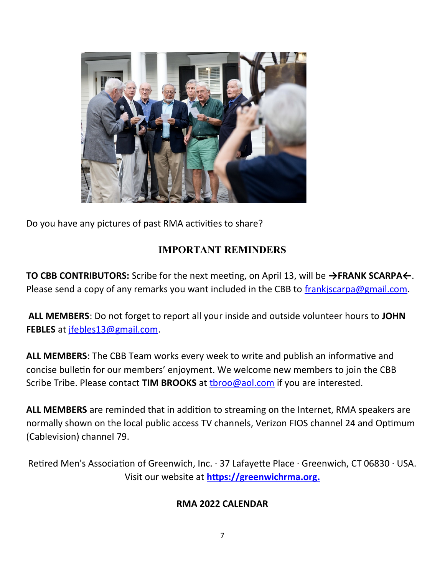

Do you have any pictures of past RMA activities to share?

## **IMPORTANT REMINDERS**

**TO CBB CONTRIBUTORS:** Scribe for the next meeting, on April 13, will be **→FRANK SCARPA←**. Please send a copy of any remarks you want included in the CBB to [frankjscarpa@gmail.com.](mailto:frankjscarpa@gmail.com)

 **ALL MEMBERS**: Do not forget to report all your inside and outside volunteer hours to **JOHN FEBLES** at [jfebles13@gmail.com.](about:blank)

**ALL MEMBERS**: The CBB Team works every week to write and publish an informative and concise bulletin for our members' enjoyment. We welcome new members to join the CBB Scribe Tribe. Please contact **TIM BROOKS** at [tbroo@aol.com](about:blank) if you are interested.

**ALL MEMBERS** are reminded that in addition to streaming on the Internet, RMA speakers are normally shown on the local public access TV channels, Verizon FIOS channel 24 and Optimum (Cablevision) channel 79.

Retired Men's Association of Greenwich, Inc. · 37 Lafayette Place · Greenwich, CT 06830 · USA. Visit our website at **[https://greenwichrma.org .](about:blank)**

#### **RMA 2022 CALENDAR**